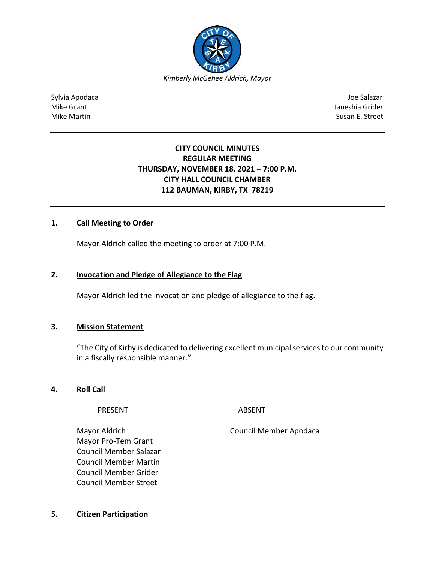

Sylvia Apodaca Joe Salazar Joe Salazar Joe Salazar Joe Salazar Joe Salazar Joe Salazar Joe Salazar Joe Salazar Mike Grant Janeshia Grider (1999) and the United States of the United States of the United States of the United States of the United States of the United States of the United States of the United States of the United State Mike Martin Susan E. Street

# **CITY COUNCIL MINUTES REGULAR MEETING THURSDAY, NOVEMBER 18, 2021 – 7:00 P.M. CITY HALL COUNCIL CHAMBER 112 BAUMAN, KIRBY, TX 78219**

## **1. Call Meeting to Order**

Mayor Aldrich called the meeting to order at 7:00 P.M.

#### **2. Invocation and Pledge of Allegiance to the Flag**

Mayor Aldrich led the invocation and pledge of allegiance to the flag.

#### **3. Mission Statement**

"The City of Kirby is dedicated to delivering excellent municipal services to our community in a fiscally responsible manner."

**4. Roll Call**

#### PRESENT ABSENT

Mayor Aldrich Council Member Apodaca

Mayor Pro-Tem Grant Council Member Salazar Council Member Martin Council Member Grider Council Member Street

**5. Citizen Participation**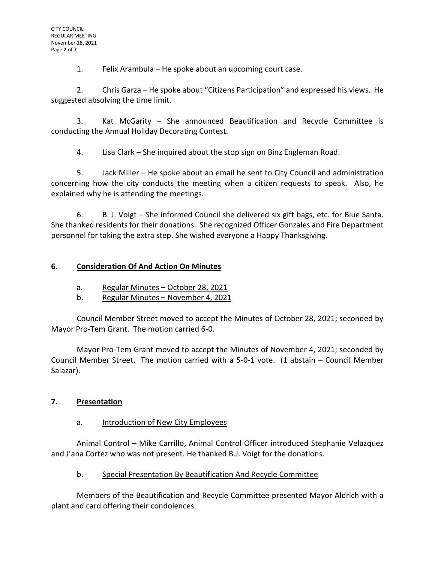1. Felix Arambula – He spoke about an upcoming court case.

2. Chris Garza – He spoke about "Citizens Participation" and expressed his views. He suggested absolving the time limit.

3. Kat McGarity – She announced Beautification and Recycle Committee is conducting the Annual Holiday Decorating Contest.

4. Lisa Clark – She inquired about the stop sign on Binz Engleman Road.

5. Jack Miller – He spoke about an email he sent to City Council and administration concerning how the city conducts the meeting when a citizen requests to speak. Also, he explained why he is attending the meetings.

6. B. J. Voigt – She informed Council she delivered six gift bags, etc. for Blue Santa. She thanked residents for their donations. She recognized Officer Gonzales and Fire Department personnel for taking the extra step. She wished everyone a Happy Thanksgiving.

# **6. Consideration Of And Action On Minutes**

- a. Regular Minutes October 28, 2021
- b. Regular Minutes November 4, 2021

Council Member Street moved to accept the Minutes of October 28, 2021; seconded by Mayor Pro-Tem Grant. The motion carried 6-0.

Mayor Pro-Tem Grant moved to accept the Minutes of November 4, 2021; seconded by Council Member Street. The motion carried with a 5-0-1 vote. (1 abstain – Council Member Salazar).

# **7. Presentation**

#### a. Introduction of New City Employees

Animal Control – Mike Carrillo, Animal Control Officer introduced Stephanie Velazquez and J'ana Cortez who was not present. He thanked B.J. Voigt for the donations.

# b. Special Presentation By Beautification And Recycle Committee

Members of the Beautification and Recycle Committee presented Mayor Aldrich with a plant and card offering their condolences.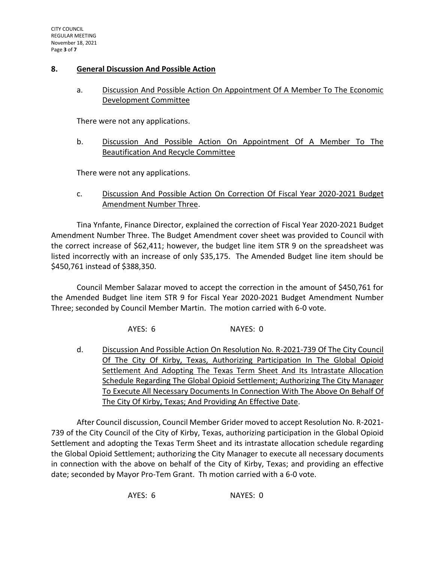#### **8. General Discussion And Possible Action**

## a. Discussion And Possible Action On Appointment Of A Member To The Economic Development Committee

There were not any applications.

b. Discussion And Possible Action On Appointment Of A Member To The Beautification And Recycle Committee

There were not any applications.

c. Discussion And Possible Action On Correction Of Fiscal Year 2020-2021 Budget Amendment Number Three.

Tina Ynfante, Finance Director, explained the correction of Fiscal Year 2020-2021 Budget Amendment Number Three. The Budget Amendment cover sheet was provided to Council with the correct increase of \$62,411; however, the budget line item STR 9 on the spreadsheet was listed incorrectly with an increase of only \$35,175. The Amended Budget line item should be \$450,761 instead of \$388,350.

Council Member Salazar moved to accept the correction in the amount of \$450,761 for the Amended Budget line item STR 9 for Fiscal Year 2020-2021 Budget Amendment Number Three; seconded by Council Member Martin. The motion carried with 6-0 vote.

AYES: 6 NAYES: 0

d. Discussion And Possible Action On Resolution No. R-2021-739 Of The City Council Of The City Of Kirby, Texas, Authorizing Participation In The Global Opioid Settlement And Adopting The Texas Term Sheet And Its Intrastate Allocation Schedule Regarding The Global Opioid Settlement; Authorizing The City Manager To Execute All Necessary Documents In Connection With The Above On Behalf Of The City Of Kirby, Texas; And Providing An Effective Date.

After Council discussion, Council Member Grider moved to accept Resolution No. R-2021- 739 of the City Council of the City of Kirby, Texas, authorizing participation in the Global Opioid Settlement and adopting the Texas Term Sheet and its intrastate allocation schedule regarding the Global Opioid Settlement; authorizing the City Manager to execute all necessary documents in connection with the above on behalf of the City of Kirby, Texas; and providing an effective date; seconded by Mayor Pro-Tem Grant. Th motion carried with a 6-0 vote.

AYES: 6 NAYES: 0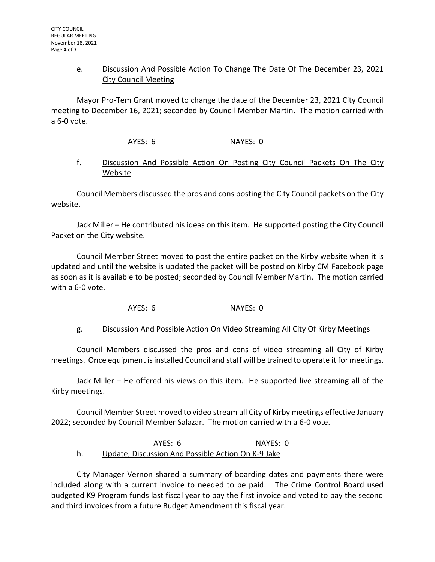## e. Discussion And Possible Action To Change The Date Of The December 23, 2021 City Council Meeting

Mayor Pro-Tem Grant moved to change the date of the December 23, 2021 City Council meeting to December 16, 2021; seconded by Council Member Martin. The motion carried with a 6-0 vote.

AYES: 6 NAYES: 0

## f. Discussion And Possible Action On Posting City Council Packets On The City Website

Council Members discussed the pros and cons posting the City Council packets on the City website.

Jack Miller – He contributed his ideas on this item. He supported posting the City Council Packet on the City website.

Council Member Street moved to post the entire packet on the Kirby website when it is updated and until the website is updated the packet will be posted on Kirby CM Facebook page as soon as it is available to be posted; seconded by Council Member Martin. The motion carried with a 6-0 vote.

AYES: 6 NAYES: 0

# g. Discussion And Possible Action On Video Streaming All City Of Kirby Meetings

Council Members discussed the pros and cons of video streaming all City of Kirby meetings. Once equipment is installed Council and staff will be trained to operate it for meetings.

Jack Miller – He offered his views on this item. He supported live streaming all of the Kirby meetings.

Council Member Street moved to video stream all City of Kirby meetings effective January 2022; seconded by Council Member Salazar. The motion carried with a 6-0 vote.

## AYES: 6 NAYES: 0 h. Update, Discussion And Possible Action On K-9 Jake

City Manager Vernon shared a summary of boarding dates and payments there were included along with a current invoice to needed to be paid. The Crime Control Board used budgeted K9 Program funds last fiscal year to pay the first invoice and voted to pay the second and third invoices from a future Budget Amendment this fiscal year.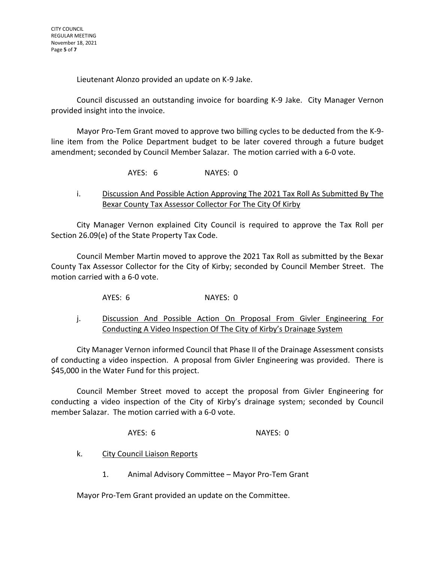Lieutenant Alonzo provided an update on K-9 Jake.

Council discussed an outstanding invoice for boarding K-9 Jake. City Manager Vernon provided insight into the invoice.

Mayor Pro-Tem Grant moved to approve two billing cycles to be deducted from the K-9 line item from the Police Department budget to be later covered through a future budget amendment; seconded by Council Member Salazar. The motion carried with a 6-0 vote.

AYES: 6 NAYES: 0

i. Discussion And Possible Action Approving The 2021 Tax Roll As Submitted By The Bexar County Tax Assessor Collector For The City Of Kirby

City Manager Vernon explained City Council is required to approve the Tax Roll per Section 26.09(e) of the State Property Tax Code.

Council Member Martin moved to approve the 2021 Tax Roll as submitted by the Bexar County Tax Assessor Collector for the City of Kirby; seconded by Council Member Street. The motion carried with a 6-0 vote.

AYES: 6 NAYES: 0

j. Discussion And Possible Action On Proposal From Givler Engineering For Conducting A Video Inspection Of The City of Kirby's Drainage System

City Manager Vernon informed Council that Phase II of the Drainage Assessment consists of conducting a video inspection. A proposal from Givler Engineering was provided. There is \$45,000 in the Water Fund for this project.

Council Member Street moved to accept the proposal from Givler Engineering for conducting a video inspection of the City of Kirby's drainage system; seconded by Council member Salazar. The motion carried with a 6-0 vote.

AYES: 6 NAYES: 0

- k. City Council Liaison Reports
	- 1. Animal Advisory Committee Mayor Pro-Tem Grant

Mayor Pro-Tem Grant provided an update on the Committee.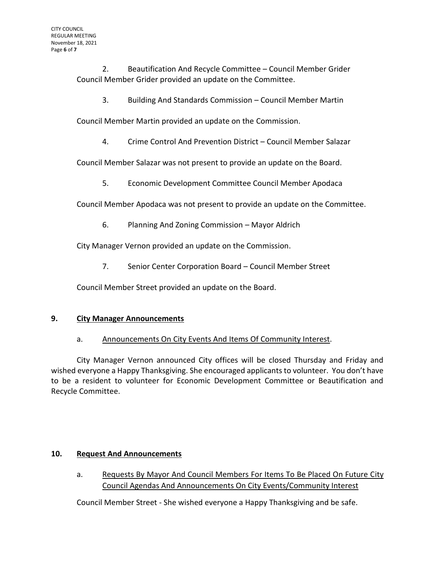2. Beautification And Recycle Committee – Council Member Grider Council Member Grider provided an update on the Committee.

3. Building And Standards Commission – Council Member Martin

Council Member Martin provided an update on the Commission.

4. Crime Control And Prevention District – Council Member Salazar

Council Member Salazar was not present to provide an update on the Board.

5. Economic Development Committee Council Member Apodaca

Council Member Apodaca was not present to provide an update on the Committee.

6. Planning And Zoning Commission – Mayor Aldrich

City Manager Vernon provided an update on the Commission.

7. Senior Center Corporation Board – Council Member Street

Council Member Street provided an update on the Board.

# **9. City Manager Announcements**

# a. Announcements On City Events And Items Of Community Interest.

City Manager Vernon announced City offices will be closed Thursday and Friday and wished everyone a Happy Thanksgiving. She encouraged applicants to volunteer. You don't have to be a resident to volunteer for Economic Development Committee or Beautification and Recycle Committee.

# **10. Request And Announcements**

a. Requests By Mayor And Council Members For Items To Be Placed On Future City Council Agendas And Announcements On City Events/Community Interest

Council Member Street - She wished everyone a Happy Thanksgiving and be safe.